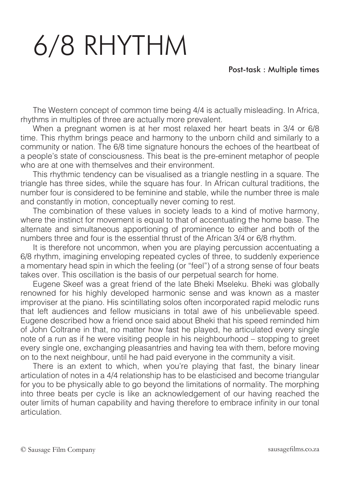## 6/8 RHYTHM

## Post-task : Multiple times

The Western concept of common time being 4/4 is actually misleading. In Africa, rhythms in multiples of three are actually more prevalent.

When a pregnant women is at her most relaxed her heart beats in 3/4 or 6/8 time. This rhythm brings peace and harmony to the unborn child and similarly to a community or nation. The 6/8 time signature honours the echoes of the heartbeat of a people's state of consciousness. This beat is the pre-eminent metaphor of people who are at one with themselves and their environment.

This rhythmic tendency can be visualised as a triangle nestling in a square. The triangle has three sides, while the square has four. In African cultural traditions, the number four is considered to be feminine and stable, while the number three is male and constantly in motion, conceptually never coming to rest.

The combination of these values in society leads to a kind of motive harmony, where the instinct for movement is equal to that of accentuating the home base. The alternate and simultaneous apportioning of prominence to either and both of the numbers three and four is the essential thrust of the African 3/4 or 6/8 rhythm.

It is therefore not uncommon, when you are playing percussion accentuating a 6/8 rhythm, imagining enveloping repeated cycles of three, to suddenly experience a momentary head spin in which the feeling (or "feel") of a strong sense of four beats takes over. This oscillation is the basis of our perpetual search for home.

Eugene Skeef was a great friend of the late Bheki Mseleku. Bheki was globally renowned for his highly developed harmonic sense and was known as a master improviser at the piano. His scintillating solos often incorporated rapid melodic runs that left audiences and fellow musicians in total awe of his unbelievable speed. Eugene described how a friend once said about Bheki that his speed reminded him of John Coltrane in that, no matter how fast he played, he articulated every single note of a run as if he were visiting people in his neighbourhood – stopping to greet every single one, exchanging pleasantries and having tea with them, before moving on to the next neighbour, until he had paid everyone in the community a visit.

There is an extent to which, when you're playing that fast, the binary linear articulation of notes in a 4/4 relationship has to be elasticised and become triangular for you to be physically able to go beyond the limitations of normality. The morphing into three beats per cycle is like an acknowledgement of our having reached the outer limits of human capability and having therefore to embrace infinity in our tonal articulation.